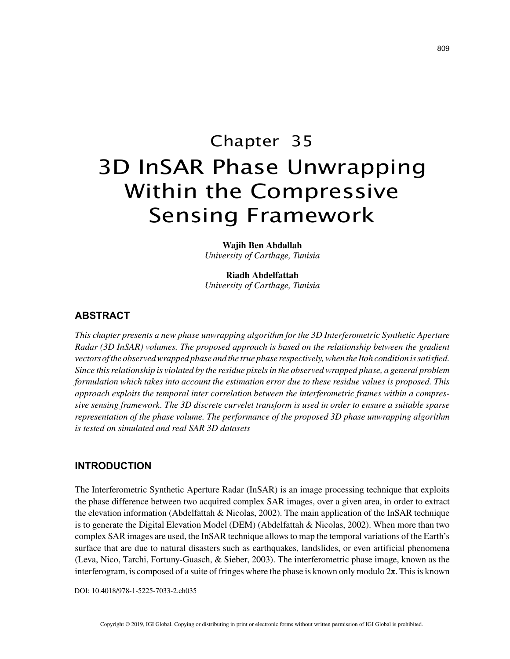# Chapter 35 3D InSAR Phase Unwrapping Within the Compressive Sensing Framework

**Wajih Ben Abdallah** *University of Carthage, Tunisia*

**Riadh Abdelfattah** *University of Carthage, Tunisia*

# **ABSTRACT**

*This chapter presents a new phase unwrapping algorithm for the 3D Interferometric Synthetic Aperture Radar (3D InSAR) volumes. The proposed approach is based on the relationship between the gradient vectors of the observed wrapped phase and the true phase respectively, when the Itoh condition is satisfied. Since this relationship is violated by the residue pixels in the observed wrapped phase, a general problem formulation which takes into account the estimation error due to these residue values is proposed. This approach exploits the temporal inter correlation between the interferometric frames within a compressive sensing framework. The 3D discrete curvelet transform is used in order to ensure a suitable sparse representation of the phase volume. The performance of the proposed 3D phase unwrapping algorithm is tested on simulated and real SAR 3D datasets*

## **INTRODUCTION**

The Interferometric Synthetic Aperture Radar (InSAR) is an image processing technique that exploits the phase difference between two acquired complex SAR images, over a given area, in order to extract the elevation information (Abdelfattah & Nicolas, 2002). The main application of the InSAR technique is to generate the Digital Elevation Model (DEM) (Abdelfattah & Nicolas, 2002). When more than two complex SAR images are used, the InSAR technique allows to map the temporal variations of the Earth's surface that are due to natural disasters such as earthquakes, landslides, or even artificial phenomena (Leva, Nico, Tarchi, Fortuny-Guasch, & Sieber, 2003). The interferometric phase image, known as the interferogram, is composed of a suite of fringes where the phase is known only modulo  $2\pi$ . This is known

DOI: 10.4018/978-1-5225-7033-2.ch035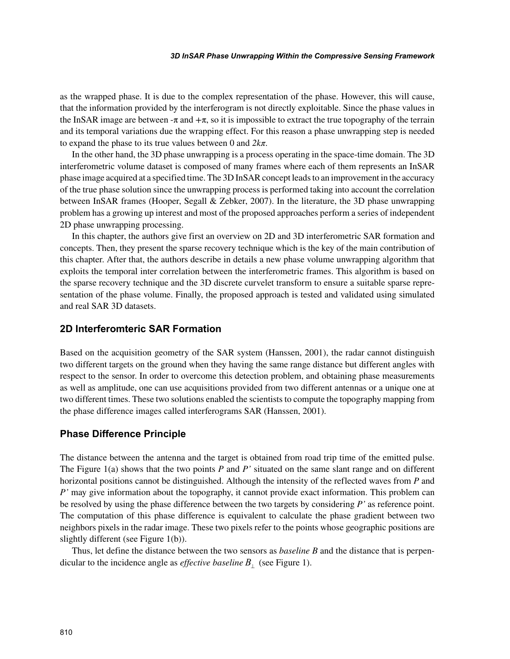as the wrapped phase. It is due to the complex representation of the phase. However, this will cause, that the information provided by the interferogram is not directly exploitable. Since the phase values in the InSAR image are between  $-\pi$  and  $+\pi$ , so it is impossible to extract the true topography of the terrain and its temporal variations due the wrapping effect. For this reason a phase unwrapping step is needed to expand the phase to its true values between 0 and *2kπ*.

In the other hand, the 3D phase unwrapping is a process operating in the space-time domain. The 3D interferometric volume dataset is composed of many frames where each of them represents an InSAR phase image acquired at a specified time. The 3D InSAR concept leads to an improvement in the accuracy of the true phase solution since the unwrapping process is performed taking into account the correlation between InSAR frames (Hooper, Segall & Zebker, 2007). In the literature, the 3D phase unwrapping problem has a growing up interest and most of the proposed approaches perform a series of independent 2D phase unwrapping processing.

In this chapter, the authors give first an overview on 2D and 3D interferometric SAR formation and concepts. Then, they present the sparse recovery technique which is the key of the main contribution of this chapter. After that, the authors describe in details a new phase volume unwrapping algorithm that exploits the temporal inter correlation between the interferometric frames. This algorithm is based on the sparse recovery technique and the 3D discrete curvelet transform to ensure a suitable sparse representation of the phase volume. Finally, the proposed approach is tested and validated using simulated and real SAR 3D datasets.

# **2D Interferomteric SAR Formation**

Based on the acquisition geometry of the SAR system (Hanssen, 2001), the radar cannot distinguish two different targets on the ground when they having the same range distance but different angles with respect to the sensor. In order to overcome this detection problem, and obtaining phase measurements as well as amplitude, one can use acquisitions provided from two different antennas or a unique one at two different times. These two solutions enabled the scientists to compute the topography mapping from the phase difference images called interferograms SAR (Hanssen, 2001).

#### **Phase Difference Principle**

The distance between the antenna and the target is obtained from road trip time of the emitted pulse. The Figure 1(a) shows that the two points *P* and *P'* situated on the same slant range and on different horizontal positions cannot be distinguished. Although the intensity of the reflected waves from *P* and *P'* may give information about the topography, it cannot provide exact information. This problem can be resolved by using the phase difference between the two targets by considering *P'* as reference point. The computation of this phase difference is equivalent to calculate the phase gradient between two neighbors pixels in the radar image. These two pixels refer to the points whose geographic positions are slightly different (see Figure 1(b)).

Thus, let define the distance between the two sensors as *baseline B* and the distance that is perpendicular to the incidence angle as *effective baseline*  $B_1$  (see Figure 1).